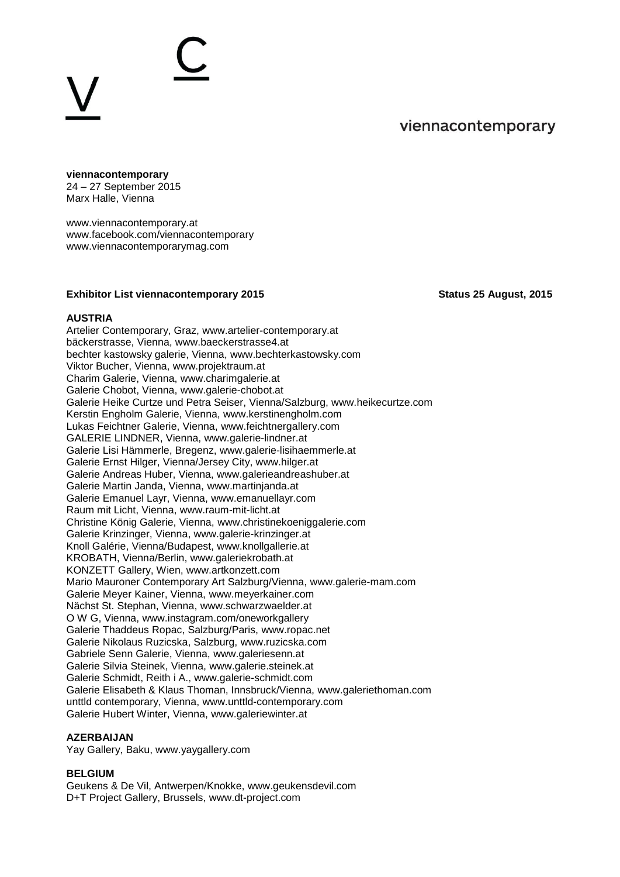# viennacontemporary

# **viennacontemporary**

24 – 27 September 2015 Marx Halle, Vienna

[www.viennacontemporary.at](http://www.viennacontemporary.at/) [www.facebook.com/viennacontemporary](http://www.facebook.com/viennacontemporary) [www.viennacontemporarymag.com](http://www.viennacontemporarymag.com/)

## **Exhibitor List viennacontemporary 2015** Status 25 August, 2015

### **AUSTRIA**

Artelier Contemporary, Graz, [www.artelier-contemporary.at](http://www.artelier-contemporary.at/) bäckerstrasse, Vienna, [www.baeckerstrasse4.at](http://www.baeckerstrasse4.at/) bechter kastowsky galerie, Vienna, [www.bechterkastowsky.com](http://www.bechterkastowsky.com/) Viktor Bucher, Vienna, [www.projektraum.at](http://www.projektraum.at/) Charim Galerie, Vienna, [www.charimgalerie.at](http://www.charimgalerie.at/) Galerie Chobot, Vienna, [www.galerie-chobot.at](http://www.galerie-chobot.at/) Galerie Heike Curtze und Petra Seiser, Vienna/Salzburg, www.heikecurtze.com Kerstin Engholm Galerie, Vienna, [www.kerstinengholm.com](http://www.kerstinengholm.com/) Lukas Feichtner Galerie, Vienna, [www.feichtnergallery.com](http://www.feichtnergallery.com/) GALERIE LINDNER, Vienna, [www.galerie-lindner.at](http://www.galerie-lindner.at/)  Galerie Lisi Hämmerle, Bregenz, [www.galerie-lisihaemmerle.at](http://www.galerie-lisihaemmerle.at/) Galerie Ernst Hilger, Vienna/Jersey City, [www.hilger.at](http://www.hilger.at/) Galerie Andreas Huber, Vienna, [www.galerieandreashuber.at](http://www.galerieandreashuber.at/) Galerie Martin Janda, Vienna, [www.martinjanda.at](http://www.martinjanda.at/) Galerie Emanuel Layr, Vienna, [www.emanuellayr.com](http://www.emanuellayr.com/) Raum mit Licht, Vienna, [www.raum-mit-licht.at](http://www.raum-mit-licht.at/) Christine König Galerie, Vienna, [www.christinekoeniggalerie.com](http://www.christinekoeniggalerie.com/) Galerie Krinzinger, Vienna, [www.galerie-krinzinger.at](http://www.galerie-krinzinger.at/) Knoll Galérie, Vienna/Budapest, [www.knollgallerie.at](http://www.knollgallerie.at/) KROBATH, Vienna/Berlin, [www.galeriekrobath.at](http://www.galeriekrobath.at/) KONZETT Gallery, Wien, [www.artkonzett.com](http://www.artkonzett.com/) Mario Mauroner Contemporary Art Salzburg/Vienna, [www.galerie-mam.com](http://www.galerie-mam.com/) Galerie Meyer Kainer, Vienna, [www.meyerkainer.com](http://www.meyerkainer.com/) Nächst St. Stephan, Vienna, [www.schwarzwaelder.at](http://www.schwarzwaelder.at/)  O W G, Vienna, [www.instagram.com/oneworkgallery](https://instagram.com/oneworkgallery/) Galerie Thaddeus Ropac, Salzburg/Paris, [www.ropac.net](http://www.ropac.net/) Galerie Nikolaus Ruzicska, Salzburg, [www.ruzicska.com](http://www.ruzicska.com/) Gabriele Senn Galerie, Vienna, [www.galeriesenn.at](http://www.galeriesenn.at/) Galerie Silvia Steinek, Vienna, [www.galerie.steinek.at](http://www.galerie.steinek.at/) Galerie Schmidt, Reith i A., [www.galerie-schmidt.com](http://www.galerie-schmidt.com/) Galerie Elisabeth & Klaus Thoman, Innsbruck/Vienna, [www.galeriethoman.com](http://www.galeriethoman.com/) unttld contemporary, Vienna, [www.unttld-contemporary.com](http://www.unttld-contemporary.com/) Galerie Hubert Winter, Vienna, [www.galeriewinter.at](http://www.galeriewinter.at/)

### **AZERBAIJAN**

Yay Gallery, Baku, [www.yaygallery.com](http://www.yaygallery.com/)

# **BELGIUM**

Geukens & De Vil, Antwerpen/Knokke, [www.geukensdevil.com](http://www.geukensdevil.com/) D+T Project Gallery, Brussels, [www.dt-project.com](http://www.dt-project.com/)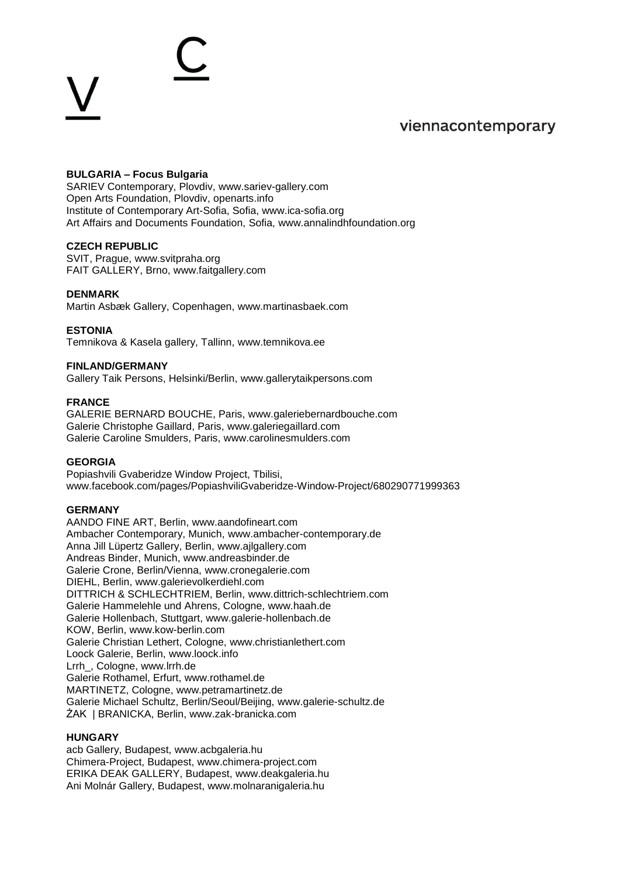

## **BULGARIA – Focus Bulgaria**

SARIEV Contemporary, Plovdiv, [www.sariev-gallery.com](http://www.sariev-gallery.com/) Open Arts Foundation, Plovdiv, openarts.info Institute of Contemporary Art-Sofia, Sofia, www.ica-sofia.org Art Affairs and Documents Foundation, Sofia, [www.annalindhfoundation.org](http://www.annalindhfoundation.org/)

#### **CZECH REPUBLIC**

SVIT, Prague, [www.svitpraha.org](http://www.svitpraha.org/) FAIT GALLERY, Brno, [www.faitgallery.com](http://www.faitgallery.com/) 

#### **DENMARK**

Martin Asbæk Gallery, Copenhagen, [www.martinasbaek.com](http://www.martinasbaek.com/)

#### **ESTONIA**

Temnikova & Kasela gallery, Tallinn, [www.temnikova.ee](http://www.temnikova.ee/)

#### **FINLAND/GERMANY**

Gallery Taik Persons, Helsinki/Berlin, [www.gallerytaikpersons.com](http://www.gallerytaikpersons.com/)

#### **FRANCE**

GALERIE BERNARD BOUCHE, Paris, [www.galeriebernardbouche.com](http://www.galeriebernardbouche.com/) Galerie Christophe Gaillard, Paris, [www.galeriegaillard.com](http://www.galeriegaillard.com/) Galerie Caroline Smulders, Paris, [www.carolinesmulders.com](http://www.carolinesmulders.com/)

#### **GEORGIA**

Popiashvili Gvaberidze Window Project, Tbilisi, [www.facebook.com/pages/PopiashviliGvaberidze-Window-Project/680290771999363](http://www.facebook.com/pages/PopiashviliGvaberidze-Window-Project/680290771999363)

#### **GERMANY**

AANDO FINE ART, Berlin, [www.aandofineart.com](http://www.aandofineart.com/) Ambacher Contemporary, Munich, [www.ambacher-contemporary.de](http://www.ambacher-contemporary.de/) Anna Jill Lüpertz Gallery, Berlin, [www.ajlgallery.com](http://www.ajlgallery.com/) Andreas Binder, Munich, [www.andreasbinder.de](http://www.andreasbinder.de/) Galerie Crone, Berlin/Vienna, [www.cronegalerie.com](http://www.cronegalerie.com/) DIEHL, Berlin, [www.galerievolkerdiehl.com](http://www.galerievolkerdiehl.com/) DITTRICH & SCHLECHTRIEM, Berlin, [www.dittrich-schlechtriem.com](http://www.dittrich-schlechtriem.com/) Galerie Hammelehle und Ahrens, Cologne, [www.haah.de](http://www.haah.de/) Galerie Hollenbach, Stuttgart, [www.galerie-hollenbach.de](http://www.galerie-hollenbach.de/) KOW, Berlin, [www.kow-berlin.com](http://www.kow-berlin.com/) Galerie Christian Lethert, Cologne, [www.christianlethert.com](http://www.christianlethert.com/) Loock Galerie, Berlin, [www.loock.info](http://www.loock.info/) Lrrh\_, Cologne, www.lrrh.de Galerie Rothamel, Erfurt, [www.rothamel.de](http://www.rothamel.de/) MARTINETZ, Cologne, [www.petramartinetz.de](http://www.petramartinetz.de/) Galerie Michael Schultz, Berlin/Seoul/Beijing, [www.galerie-schultz.de](http://www.galerie-schultz.de/) ŻAK | BRANICKA, Berlin, [www.zak-branicka.com](http://www.zak-branicka.com/)

#### **HUNGARY**

acb Gallery, Budapest, [www.acbgaleria.hu](http://www.acbgaleria.hu/) Chimera-Project, Budapest, [www.chimera-project.com](http://www.chimera-project.com/) ERIKA DEAK GALLERY, Budapest, [www.deakgaleria.hu](http://www.deakgaleria.hu/) Ani Molnár Gallery, Budapest, [www.molnaranigaleria.hu](http://www.molnaranigaleria.hu/)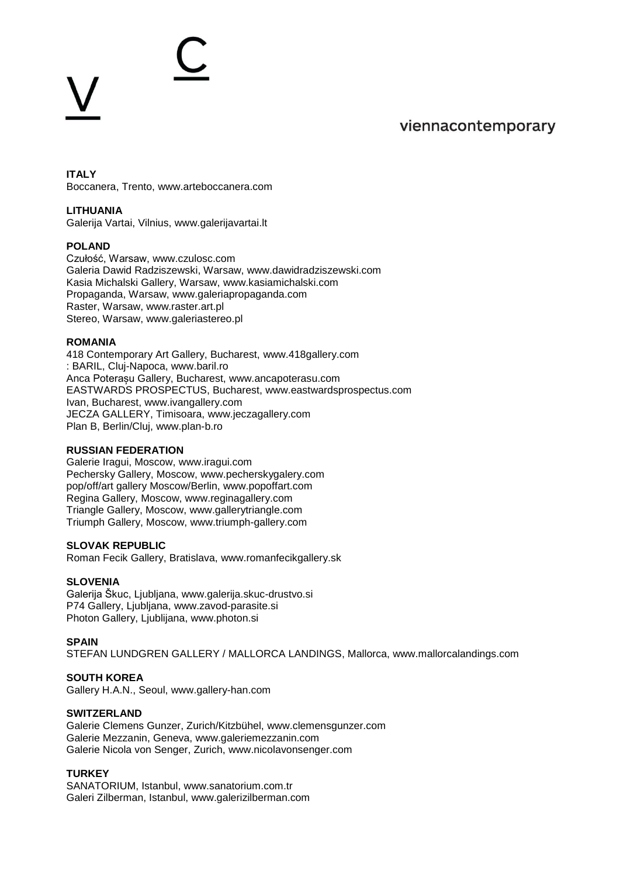# viennacontemporary

**ITALY** Boccanera, Trento, [www.arteboccanera.com](http://www.arteboccanera.com/)

#### **LITHUANIA**

Galerija Vartai, Vilnius, [www.galerijavartai.lt](http://www.galerijavartai.lt/)

#### **POLAND**

Czułość, Warsaw, [www.czulosc.com](http://www.czulosc.com/) Galeria Dawid Radziszewski, Warsaw, [www.dawidradziszewski.com](http://www.dawidradziszewski.com/) Kasia Michalski Gallery, Warsaw, [www.kasiamichalski.com](http://www.kasiamichalski.com/) Propaganda, Warsaw, [www.galeriapropaganda.com](http://www.galeriapropaganda.com/) Raster, Warsaw, www.[raster.art.pl](http://www.raster.art.pl/) Stereo, Warsaw, [www.galeriastereo.pl](http://www.galeriastereo.pl/)

#### **ROMANIA**

418 Contemporary Art Gallery, Bucharest, [www.418gallery.com](http://www.418gallery.com/) : BARIL, Cluj-Napoca, [www.baril.ro](http://www.baril.ro/) Anca Poterașu Gallery, Bucharest, [www.ancapoterasu.com](http://www.ancapoterasu.com/) EASTWARDS PROSPECTUS, Bucharest, [www.eastwardsprospectus.com](http://www.eastwardsprospectus.com/) Ivan, Bucharest, [www.ivangallery.com](http://www.ivangallery.com/) JECZA GALLERY, Timisoara, [www.jeczagallery.com](http://www.jeczagallery.com/) Plan B, Berlin/Cluj, [www.plan-b.ro](http://www.plan-b.ro/)

#### **RUSSIAN FEDERATION**

Galerie Iragui, Moscow, [www.iragui.com](http://www.iragui.com/) Pechersky Gallery, Moscow, [www.pecherskygalery.com](http://www.pecherskygalery.com/) pop/off/art gallery Moscow/Berlin, [www.popoffart.com](http://www.popoffart.com/) Regina Gallery, Moscow, [www.reginagallery.com](http://www.reginagallery.com/) Triangle Gallery, Moscow, [www.gallerytriangle.com](http://www.gallerytriangle.com/) Triumph Gallery, Moscow, [www.triumph-gallery.com](http://www.triumph-gallery.com/)

#### **SLOVAK REPUBLIC**

Roman Fecik Gallery, Bratislava, [www.romanfecikgallery.sk](http://www.romanfecikgallery.sk/)

#### **SLOVENIA**

Galerija Škuc, Ljubljana, [www.galerija.skuc-drustvo.si](http://www.galerija.skuc-drustvo.si/) P74 Gallery, Ljubljana, [www.zavod-parasite.si](http://www.zavod-parasite.si/) Photon Gallery, Ljublijana, [www.photon.si](http://www.photon.si/)

#### **SPAIN**

STEFAN LUNDGREN GALLERY / MALLORCA LANDINGS, Mallorca, [www.mallorcalandings.com](http://www.mallorcalandings.com/)

### **SOUTH KOREA**

Gallery H.A.N., Seoul, [www.gallery-han.com](http://www.gallery-han.com/)

#### **SWITZERLAND**

Galerie Clemens Gunzer, Zurich/Kitzbühel, [www.clemensgunzer.com](http://www.clemensgunzer.com/) Galerie Mezzanin, Geneva, [www.galeriemezzanin.com](http://www.galeriemezzanin.com/) Galerie Nicola von Senger, Zurich, [www.nicolavonsenger.com](http://www.nicolavonsenger.com/)

# **TURKEY**

SANATORIUM, Istanbul, [www.sanatorium.com.tr](http://www.sanatorium.com.tr/) Galeri Zilberman, Istanbul, [www.galerizilberman.com](http://www.galerizilberman.com/)